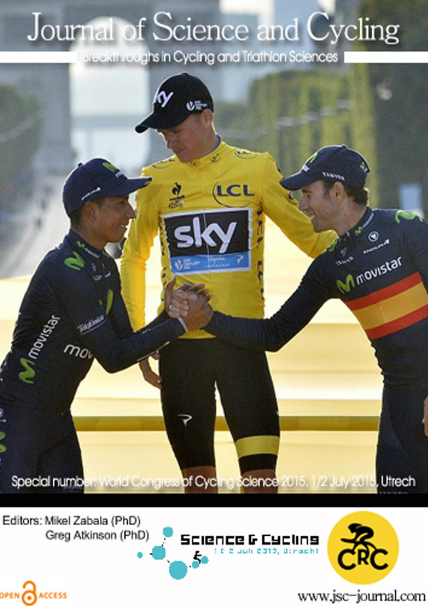## Journal of Science and Cycling

Breakthroughs in Cycling and Triathlon Sciences



Editors: Mikel Zabala (PhD) Greg Atkinson (PhD)

OPEN CACCESS





www.jsc-journal.com